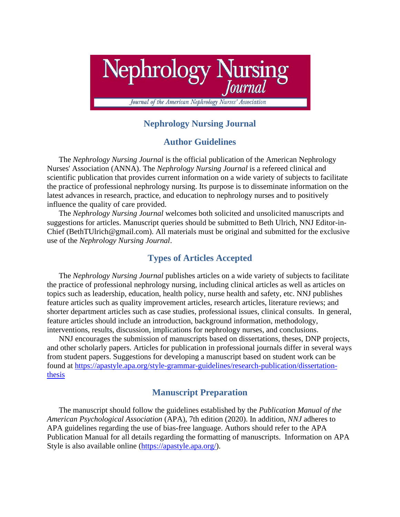

# **Nephrology Nursing Journal**

# **Author Guidelines**

The *Nephrology Nursing Journal* is the official publication of the American Nephrology Nurses' Association (ANNA). The *Nephrology Nursing Journal* is a refereed clinical and scientific publication that provides current information on a wide variety of subjects to facilitate the practice of professional nephrology nursing. Its purpose is to disseminate information on the latest advances in research, practice, and education to nephrology nurses and to positively influence the quality of care provided.

The *Nephrology Nursing Journal* welcomes both solicited and unsolicited manuscripts and suggestions for articles. Manuscript queries should be submitted to Beth Ulrich, NNJ Editor-in-Chief (BethTUlrich@gmail.com). All materials must be original and submitted for the exclusive use of the *Nephrology Nursing Journal*.

## **Types of Articles Accepted**

The *Nephrology Nursing Journal* publishes articles on a wide variety of subjects to facilitate the practice of professional nephrology nursing, including clinical articles as well as articles on topics such as leadership, education, health policy, nurse health and safety, etc. NNJ publishes feature articles such as quality improvement articles, research articles, literature reviews; and shorter department articles such as case studies, professional issues, clinical consults. In general, feature articles should include an introduction, background information, methodology, interventions, results, discussion, implications for nephrology nurses, and conclusions.

NNJ encourages the submission of manuscripts based on dissertations, theses, DNP projects, and other scholarly papers. Articles for publication in professional journals differ in several ways from student papers. Suggestions for developing a manuscript based on student work can be found at [https://apastyle.apa.org/style-grammar-guidelines/research-publication/dissertation](https://apastyle.apa.org/style-grammar-guidelines/research-publication/dissertation-thesis)[thesis](https://apastyle.apa.org/style-grammar-guidelines/research-publication/dissertation-thesis)

# **Manuscript Preparation**

The manuscript should follow the guidelines established by the *Publication Manual of the American Psychological Association* (APA), 7th edition (2020). In addition, *NNJ* adheres to APA guidelines regarding the use of bias-free language. Authors should refer to the APA Publication Manual for all details regarding the formatting of manuscripts. Information on APA Style is also available online [\(https://apastyle.apa.org/\)](https://apastyle.apa.org/).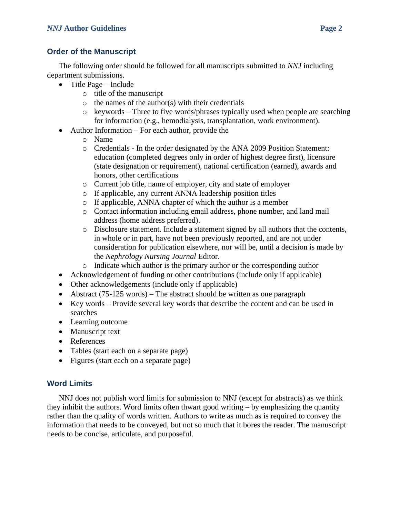## **Order of the Manuscript**

The following order should be followed for all manuscripts submitted to *NNJ* including department submissions.

- Title Page Include
	- o title of the manuscript
	- $\circ$  the names of the author(s) with their credentials
	- $\circ$  keywords Three to five words/phrases typically used when people are searching for information (e.g., hemodialysis, transplantation, work environment).
- Author Information For each author, provide the
	- o Name
	- o Credentials In the order designated by the ANA 2009 Position Statement: education (completed degrees only in order of highest degree first), licensure (state designation or requirement), national certification (earned), awards and honors, other certifications
	- o Current job title, name of employer, city and state of employer
	- o If applicable, any current ANNA leadership position titles
	- o If applicable, ANNA chapter of which the author is a member
	- o Contact information including email address, phone number, and land mail address (home address preferred).
	- o Disclosure statement. Include a statement signed by all authors that the contents, in whole or in part, have not been previously reported, and are not under consideration for publication elsewhere, nor will be, until a decision is made by the *Nephrology Nursing Journal* Editor.
	- o Indicate which author is the primary author or the corresponding author
- Acknowledgement of funding or other contributions (include only if applicable)
- Other acknowledgements (include only if applicable)
- Abstract (75-125 words) The abstract should be written as one paragraph
- Key words Provide several key words that describe the content and can be used in searches
- Learning outcome
- Manuscript text
- References
- Tables (start each on a separate page)
- Figures (start each on a separate page)

# **Word Limits**

NNJ does not publish word limits for submission to NNJ (except for abstracts) as we think they inhibit the authors. Word limits often thwart good writing – by emphasizing the quantity rather than the quality of words written. Authors to write as much as is required to convey the information that needs to be conveyed, but not so much that it bores the reader. The manuscript needs to be concise, articulate, and purposeful.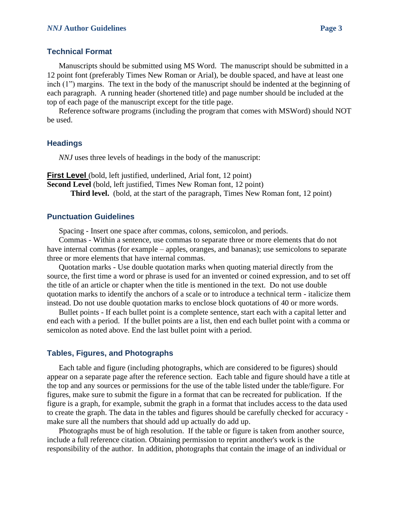## **Technical Format**

Manuscripts should be submitted using MS Word. The manuscript should be submitted in a 12 point font (preferably Times New Roman or Arial), be double spaced, and have at least one inch (1") margins. The text in the body of the manuscript should be indented at the beginning of each paragraph. A running header (shortened title) and page number should be included at the top of each page of the manuscript except for the title page.

Reference software programs (including the program that comes with MSWord) should NOT be used.

## **Headings**

*NNJ* uses three levels of headings in the body of the manuscript:

**First Level** (bold, left justified, underlined, Arial font, 12 point) **Second Level** (bold, left justified, Times New Roman font, 12 point) **Third level.** (bold, at the start of the paragraph, Times New Roman font, 12 point)

### **Punctuation Guidelines**

Spacing - Insert one space after commas, colons, semicolon, and periods.

Commas - Within a sentence, use commas to separate three or more elements that do not have internal commas (for example – apples, oranges, and bananas); use semicolons to separate three or more elements that have internal commas.

Quotation marks - Use double quotation marks when quoting material directly from the source, the first time a word or phrase is used for an invented or coined expression, and to set off the title of an article or chapter when the title is mentioned in the text. Do not use double quotation marks to identify the anchors of a scale or to introduce a technical term - italicize them instead. Do not use double quotation marks to enclose block quotations of 40 or more words.

Bullet points - If each bullet point is a complete sentence, start each with a capital letter and end each with a period. If the bullet points are a list, then end each bullet point with a comma or semicolon as noted above. End the last bullet point with a period.

## **Tables, Figures, and Photographs**

Each table and figure (including photographs, which are considered to be figures) should appear on a separate page after the reference section. Each table and figure should have a title at the top and any sources or permissions for the use of the table listed under the table/figure. For figures, make sure to submit the figure in a format that can be recreated for publication. If the figure is a graph, for example, submit the graph in a format that includes access to the data used to create the graph. The data in the tables and figures should be carefully checked for accuracy make sure all the numbers that should add up actually do add up.

Photographs must be of high resolution. If the table or figure is taken from another source, include a full reference citation. Obtaining permission to reprint another's work is the responsibility of the author. In addition, photographs that contain the image of an individual or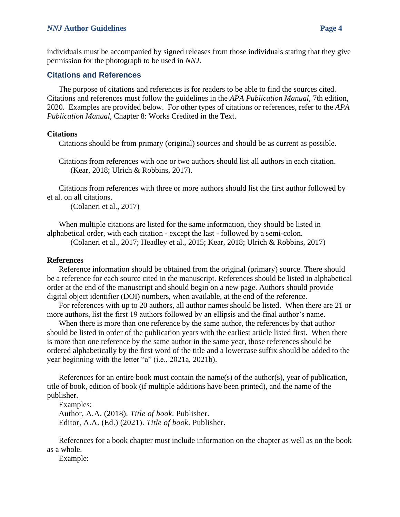#### *NNJ* **Author Guidelines Page 4**

individuals must be accompanied by signed releases from those individuals stating that they give permission for the photograph to be used in *NNJ*.

### **Citations and References**

The purpose of citations and references is for readers to be able to find the sources cited. Citations and references must follow the guidelines in the *APA Publication Manual*, 7th edition, 2020. Examples are provided below. For other types of citations or references, refer to the *APA Publication Manual*, Chapter 8: Works Credited in the Text.

#### **Citations**

Citations should be from primary (original) sources and should be as current as possible.

Citations from references with one or two authors should list all authors in each citation. (Kear, 2018; Ulrich & Robbins, 2017).

Citations from references with three or more authors should list the first author followed by et al. on all citations.

(Colaneri et al., 2017)

When multiple citations are listed for the same information, they should be listed in alphabetical order, with each citation - except the last - followed by a semi-colon.

(Colaneri et al., 2017; Headley et al., 2015; Kear, 2018; Ulrich & Robbins, 2017)

#### **References**

Reference information should be obtained from the original (primary) source. There should be a reference for each source cited in the manuscript. References should be listed in alphabetical order at the end of the manuscript and should begin on a new page. Authors should provide digital object identifier (DOI) numbers, when available, at the end of the reference.

For references with up to 20 authors, all author names should be listed. When there are 21 or more authors, list the first 19 authors followed by an ellipsis and the final author's name.

When there is more than one reference by the same author, the references by that author should be listed in order of the publication years with the earliest article listed first. When there is more than one reference by the same author in the same year, those references should be ordered alphabetically by the first word of the title and a lowercase suffix should be added to the year beginning with the letter "a" (i.e., 2021a, 2021b).

References for an entire book must contain the name(s) of the author(s), year of publication, title of book, edition of book (if multiple additions have been printed), and the name of the publisher.

Examples:

Author, A.A. (2018). *Title of book*. Publisher. Editor, A.A. (Ed.) (2021). *Title of book*. Publisher.

References for a book chapter must include information on the chapter as well as on the book as a whole.

Example: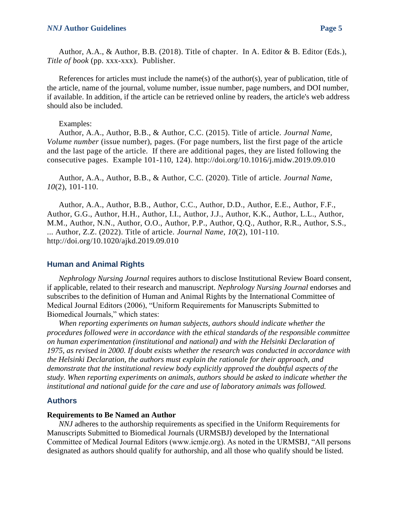Author, A.A., & Author, B.B. (2018). Title of chapter. In A. Editor & B. Editor (Eds.), *Title of book* (pp. xxx-xxx). Publisher.

References for articles must include the name(s) of the author(s), year of publication, title of the article, name of the journal, volume number, issue number, page numbers, and DOI number, if available. In addition, if the article can be retrieved online by readers, the article's web address should also be included.

#### Examples:

Author, A.A., Author, B.B., & Author, C.C. (2015). Title of article. *Journal Name, Volume number* (issue number), pages. (For page numbers, list the first page of the article and the last page of the article. If there are additional pages, they are listed following the consecutive pages. Example 101-110, 124). http://doi.org/10.1016/j.midw.2019.09.010

Author, A.A., Author, B.B., & Author, C.C. (2020). Title of article. *Journal Name, 10*(2), 101-110.

Author, A.A., Author, B.B., Author, C.C., Author, D.D., Author, E.E., Author, F.F., Author, G.G., Author, H.H., Author, I.I., Author, J.J., Author, K.K., Author, L.L., Author, M.M., Author, N.N., Author, O.O., Author, P.P., Author, Q.Q., Author, R.R., Author, S.S., ... Author, Z.Z. (2022). Title of article. *Journal Name, 10*(2), 101-110. http://doi.org/10.1020/ajkd.2019.09.010

### **Human and Animal Rights**

*Nephrology Nursing Journal* requires authors to disclose Institutional Review Board consent, if applicable, related to their research and manuscript. *Nephrology Nursing Journal* endorses and subscribes to the definition of Human and Animal Rights by the International Committee of Medical Journal Editors (2006), "Uniform Requirements for Manuscripts Submitted to Biomedical Journals," which states:

*When reporting experiments on human subjects, authors should indicate whether the procedures followed were in accordance with the ethical standards of the responsible committee on human experimentation (institutional and national) and with the Helsinki Declaration of 1975, as revised in 2000. If doubt exists whether the research was conducted in accordance with the Helsinki Declaration, the authors must explain the rationale for their approach, and demonstrate that the institutional review body explicitly approved the doubtful aspects of the study. When reporting experiments on animals, authors should be asked to indicate whether the institutional and national guide for the care and use of laboratory animals was followed.*

### **Authors**

### **Requirements to Be Named an Author**

*NNJ* adheres to the authorship requirements as specified in the Uniform Requirements for Manuscripts Submitted to Biomedical Journals (URMSBJ) developed by the International Committee of Medical Journal Editors (www.icmje.org). As noted in the URMSBJ, "All persons designated as authors should qualify for authorship, and all those who qualify should be listed.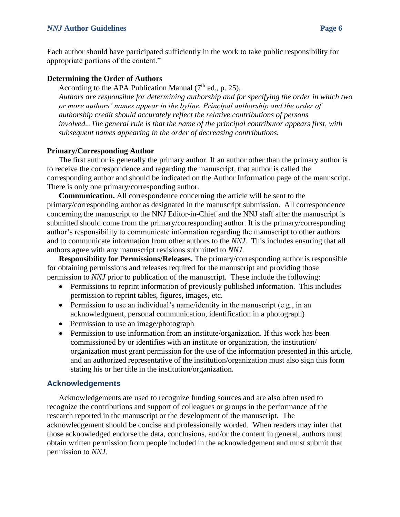Each author should have participated sufficiently in the work to take public responsibility for appropriate portions of the content."

## **Determining the Order of Authors**

According to the APA Publication Manual  $(7<sup>th</sup>$  ed., p. 25), *Authors are responsible for determining authorship and for specifying the order in which two or more authors' names appear in the byline. Principal authorship and the order of authorship credit should accurately reflect the relative contributions of persons involved...The general rule is that the name of the principal contributor appears first, with subsequent names appearing in the order of decreasing contributions.*

## **Primary/Corresponding Author**

The first author is generally the primary author. If an author other than the primary author is to receive the correspondence and regarding the manuscript, that author is called the corresponding author and should be indicated on the Author Information page of the manuscript. There is only one primary/corresponding author.

**Communication.** All correspondence concerning the article will be sent to the primary/corresponding author as designated in the manuscript submission. All correspondence concerning the manuscript to the NNJ Editor-in-Chief and the NNJ staff after the manuscript is submitted should come from the primary/corresponding author. It is the primary/corresponding author's responsibility to communicate information regarding the manuscript to other authors and to communicate information from other authors to the *NNJ*. This includes ensuring that all authors agree with any manuscript revisions submitted to *NNJ*.

**Responsibility for Permissions/Releases.** The primary/corresponding author is responsible for obtaining permissions and releases required for the manuscript and providing those permission to *NNJ* prior to publication of the manuscript. These include the following:

- Permissions to reprint information of previously published information. This includes permission to reprint tables, figures, images, etc.
- Permission to use an individual's name/identity in the manuscript (e.g., in an acknowledgment, personal communication, identification in a photograph)
- Permission to use an image/photograph
- Permission to use information from an institute/organization. If this work has been commissioned by or identifies with an institute or organization, the institution/ organization must grant permission for the use of the information presented in this article, and an authorized representative of the institution/organization must also sign this form stating his or her title in the institution/organization.

## **Acknowledgements**

Acknowledgements are used to recognize funding sources and are also often used to recognize the contributions and support of colleagues or groups in the performance of the research reported in the manuscript or the development of the manuscript. The acknowledgement should be concise and professionally worded. When readers may infer that those acknowledged endorse the data, conclusions, and/or the content in general, authors must obtain written permission from people included in the acknowledgement and must submit that permission to *NNJ*.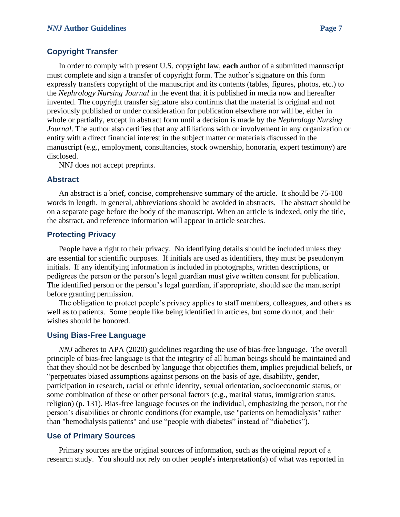### **Copyright Transfer**

In order to comply with present U.S. copyright law, **each** author of a submitted manuscript must complete and sign a transfer of copyright form. The author's signature on this form expressly transfers copyright of the manuscript and its contents (tables, figures, photos, etc.) to the *Nephrology Nursing Journal* in the event that it is published in media now and hereafter invented. The copyright transfer signature also confirms that the material is original and not previously published or under consideration for publication elsewhere nor will be, either in whole or partially, except in abstract form until a decision is made by the *Nephrology Nursing Journal*. The author also certifies that any affiliations with or involvement in any organization or entity with a direct financial interest in the subject matter or materials discussed in the manuscript (e.g., employment, consultancies, stock ownership, honoraria, expert testimony) are disclosed.

NNJ does not accept preprints.

#### **Abstract**

An abstract is a brief, concise, comprehensive summary of the article. It should be 75-100 words in length. In general, abbreviations should be avoided in abstracts. The abstract should be on a separate page before the body of the manuscript. When an article is indexed, only the title, the abstract, and reference information will appear in article searches.

#### **Protecting Privacy**

People have a right to their privacy. No identifying details should be included unless they are essential for scientific purposes. If initials are used as identifiers, they must be pseudonym initials. If any identifying information is included in photographs, written descriptions, or pedigrees the person or the person's legal guardian must give written consent for publication. The identified person or the person's legal guardian, if appropriate, should see the manuscript before granting permission.

The obligation to protect people's privacy applies to staff members, colleagues, and others as well as to patients. Some people like being identified in articles, but some do not, and their wishes should be honored.

#### **Using Bias-Free Language**

*NNJ* adheres to APA (2020) guidelines regarding the use of bias-free language. The overall principle of bias-free language is that the integrity of all human beings should be maintained and that they should not be described by language that objectifies them, implies prejudicial beliefs, or "perpetuates biased assumptions against persons on the basis of age, disability, gender, participation in research, racial or ethnic identity, sexual orientation, socioeconomic status, or some combination of these or other personal factors (e.g., marital status, immigration status, religion) (p. 131). Bias-free language focuses on the individual, emphasizing the person, not the person's disabilities or chronic conditions (for example, use "patients on hemodialysis" rather than "hemodialysis patients" and use "people with diabetes" instead of "diabetics").

### **Use of Primary Sources**

Primary sources are the original sources of information, such as the original report of a research study. You should not rely on other people's interpretation(s) of what was reported in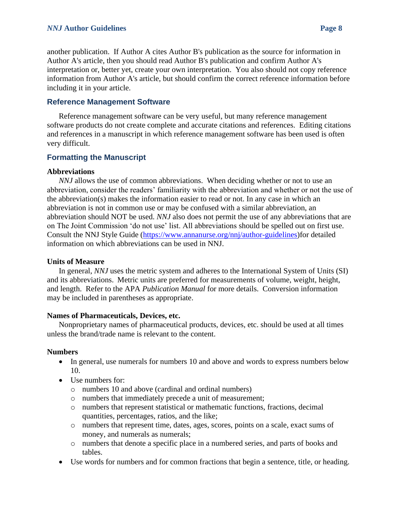### *NNJ* **Author Guidelines Page 8**

another publication. If Author A cites Author B's publication as the source for information in Author A's article, then you should read Author B's publication and confirm Author A's interpretation or, better yet, create your own interpretation. You also should not copy reference information from Author A's article, but should confirm the correct reference information before including it in your article.

## **Reference Management Software**

Reference management software can be very useful, but many reference management software products do not create complete and accurate citations and references. Editing citations and references in a manuscript in which reference management software has been used is often very difficult.

## **Formatting the Manuscript**

### **Abbreviations**

*NNJ* allows the use of common abbreviations. When deciding whether or not to use an abbreviation, consider the readers' familiarity with the abbreviation and whether or not the use of the abbreviation(s) makes the information easier to read or not. In any case in which an abbreviation is not in common use or may be confused with a similar abbreviation, an abbreviation should NOT be used. *NNJ* also does not permit the use of any abbreviations that are on The Joint Commission 'do not use' list. All abbreviations should be spelled out on first use. Consult the NNJ Style Guide [\(https://www.annanurse.org/nnj/author-guidelines\)](https://www.annanurse.org/nnj/author-guidelines)for detailed information on which abbreviations can be used in NNJ.

### **Units of Measure**

In general, *NNJ* uses the metric system and adheres to the International System of Units (SI) and its abbreviations. Metric units are preferred for measurements of volume, weight, height, and length. Refer to the APA *Publication Manual* for more details. Conversion information may be included in parentheses as appropriate.

## **Names of Pharmaceuticals, Devices, etc.**

Nonproprietary names of pharmaceutical products, devices, etc. should be used at all times unless the brand/trade name is relevant to the content.

### **Numbers**

- In general, use numerals for numbers 10 and above and words to express numbers below 10.
- Use numbers for:
	- o numbers 10 and above (cardinal and ordinal numbers)
	- o numbers that immediately precede a unit of measurement;
	- o numbers that represent statistical or mathematic functions, fractions, decimal quantities, percentages, ratios, and the like;
	- o numbers that represent time, dates, ages, scores, points on a scale, exact sums of money, and numerals as numerals;
	- o numbers that denote a specific place in a numbered series, and parts of books and tables.
- Use words for numbers and for common fractions that begin a sentence, title, or heading.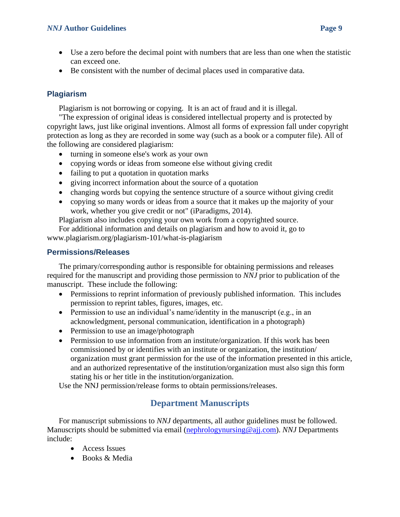## *NNJ* **Author Guidelines <b>Page 9**

- Use a zero before the decimal point with numbers that are less than one when the statistic can exceed one.
- Be consistent with the number of decimal places used in comparative data.

## **Plagiarism**

Plagiarism is not borrowing or copying. It is an act of fraud and it is illegal.

"The expression of original ideas is considered intellectual property and is protected by copyright laws, just like original inventions. Almost all forms of expression fall under copyright protection as long as they are recorded in some way (such as a book or a computer file). All of the following are considered plagiarism:

- turning in someone else's work as your own
- copying words or ideas from someone else without giving credit
- failing to put a quotation in quotation marks
- giving incorrect information about the source of a quotation
- changing words but copying the sentence structure of a source without giving credit
- copying so many words or ideas from a source that it makes up the majority of your work, whether you give credit or not" (iParadigms, 2014).

Plagiarism also includes copying your own work from a copyrighted source.

For additional information and details on plagiarism and how to avoid it, go to [www.plagiarism.org/plagiarism-101/what-is-plagiarism](http://www.plagiarism.org/plagiarism-101/what-is-plagiarism)

## **Permissions/Releases**

The primary/corresponding author is responsible for obtaining permissions and releases required for the manuscript and providing those permission to *NNJ* prior to publication of the manuscript. These include the following:

- Permissions to reprint information of previously published information. This includes permission to reprint tables, figures, images, etc.
- Permission to use an individual's name/identity in the manuscript (e.g., in an acknowledgment, personal communication, identification in a photograph)
- Permission to use an image/photograph
- Permission to use information from an institute/organization. If this work has been commissioned by or identifies with an institute or organization, the institution/ organization must grant permission for the use of the information presented in this article, and an authorized representative of the institution/organization must also sign this form stating his or her title in the institution/organization.

Use the NNJ permission/release forms to obtain permissions/releases.

# **Department Manuscripts**

For manuscript submissions to *NNJ* departments, all author guidelines must be followed. Manuscripts should be submitted via email [\(nephrologynursing@ajj.com\)](mailto:nephrologynursing@ajj.com). *NNJ* Departments include:

- Access Issues
- Books & Media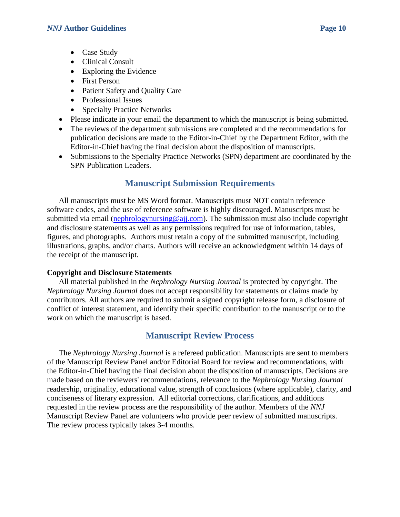- Case Study
- Clinical Consult
- Exploring the Evidence
- First Person
- Patient Safety and Quality Care
- Professional Issues
- Specialty Practice Networks
- Please indicate in your email the department to which the manuscript is being submitted.
- The reviews of the department submissions are completed and the recommendations for publication decisions are made to the Editor-in-Chief by the Department Editor, with the Editor-in-Chief having the final decision about the disposition of manuscripts.
- Submissions to the Specialty Practice Networks (SPN) department are coordinated by the SPN Publication Leaders.

# **Manuscript Submission Requirements**

All manuscripts must be MS Word format. Manuscripts must NOT contain reference software codes, and the use of reference software is highly discouraged. Manuscripts must be submitted via email [\(nephrologynursing@ajj.com\)](mailto:nephrologynursing@ajj.com). The submission must also include copyright and disclosure statements as well as any permissions required for use of information, tables, figures, and photographs. Authors must retain a copy of the submitted manuscript, including illustrations, graphs, and/or charts. Authors will receive an acknowledgment within 14 days of the receipt of the manuscript.

## **Copyright and Disclosure Statements**

All material published in the *Nephrology Nursing Journal* is protected by copyright. The *Nephrology Nursing Journal* does not accept responsibility for statements or claims made by contributors. All authors are required to submit a signed copyright release form, a disclosure of conflict of interest statement, and identify their specific contribution to the manuscript or to the work on which the manuscript is based.

# **Manuscript Review Process**

The *Nephrology Nursing Journal* is a refereed publication. Manuscripts are sent to members of the Manuscript Review Panel and/or Editorial Board for review and recommendations, with the Editor-in-Chief having the final decision about the disposition of manuscripts. Decisions are made based on the reviewers' recommendations, relevance to the *Nephrology Nursing Journal* readership, originality, educational value, strength of conclusions (where applicable), clarity, and conciseness of literary expression. All editorial corrections, clarifications, and additions requested in the review process are the responsibility of the author. Members of the *NNJ* Manuscript Review Panel are volunteers who provide peer review of submitted manuscripts. The review process typically takes 3-4 months.